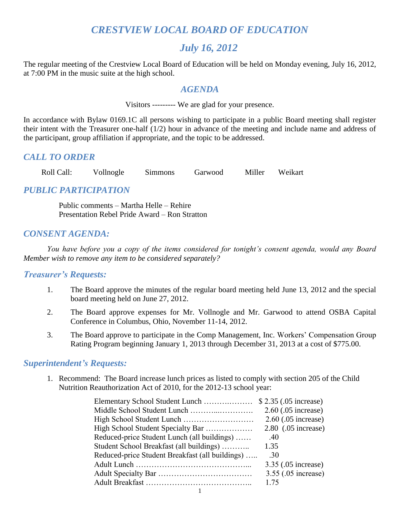# *CRESTVIEW LOCAL BOARD OF EDUCATION*

## *July 16, 2012*

The regular meeting of the Crestview Local Board of Education will be held on Monday evening, July 16, 2012, at 7:00 PM in the music suite at the high school.

#### *AGENDA*

Visitors --------- We are glad for your presence.

In accordance with Bylaw 0169.1C all persons wishing to participate in a public Board meeting shall register their intent with the Treasurer one-half (1/2) hour in advance of the meeting and include name and address of the participant, group affiliation if appropriate, and the topic to be addressed.

#### *CALL TO ORDER*

Roll Call: Vollnogle Simmons Garwood Miller Weikart

### *PUBLIC PARTICIPATION*

Public comments – Martha Helle – Rehire Presentation Rebel Pride Award – Ron Stratton

#### *CONSENT AGENDA:*

*You have before you a copy of the items considered for tonight's consent agenda, would any Board Member wish to remove any item to be considered separately?*

#### *Treasurer's Requests:*

- 1. The Board approve the minutes of the regular board meeting held June 13, 2012 and the special board meeting held on June 27, 2012.
- 2. The Board approve expenses for Mr. Vollnogle and Mr. Garwood to attend OSBA Capital Conference in Columbus, Ohio, November 11-14, 2012.
- 3. The Board approve to participate in the Comp Management, Inc. Workers' Compensation Group Rating Program beginning January 1, 2013 through December 31, 2013 at a cost of \$775.00.

#### *Superintendent's Requests:*

1. Recommend: The Board increase lunch prices as listed to comply with section 205 of the Child Nutrition Reauthorization Act of 2010, for the 2012-13 school year:

|                                                 | $2.60$ (.05 increase) |
|-------------------------------------------------|-----------------------|
|                                                 | 2.60 (.05 increase)   |
| High School Student Specialty Bar               | $2.80$ (.05 increase) |
| Reduced-price Student Lunch (all buildings)     | .40                   |
| Student School Breakfast (all buildings)        | 1.35                  |
| Reduced-price Student Breakfast (all buildings) | .30                   |
|                                                 | 3.35 (.05 increase)   |
|                                                 | 3.55 (.05 increase)   |
|                                                 | 1 75                  |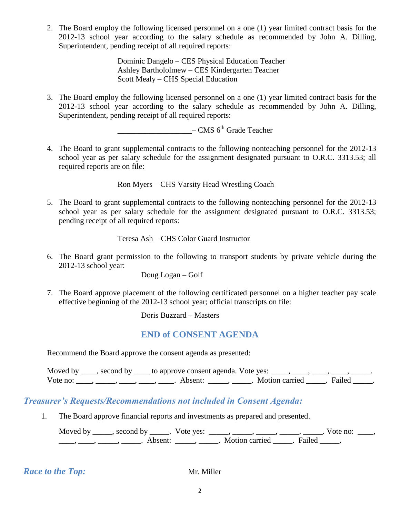2. The Board employ the following licensed personnel on a one (1) year limited contract basis for the 2012-13 school year according to the salary schedule as recommended by John A. Dilling, Superintendent, pending receipt of all required reports:

> Dominic Dangelo – CES Physical Education Teacher Ashley Barthololmew – CES Kindergarten Teacher Scott Mealy – CHS Special Education

3. The Board employ the following licensed personnel on a one (1) year limited contract basis for the 2012-13 school year according to the salary schedule as recommended by John A. Dilling, Superintendent, pending receipt of all required reports:

 $-CMS$  6<sup>th</sup> Grade Teacher

4. The Board to grant supplemental contracts to the following nonteaching personnel for the 2012-13 school year as per salary schedule for the assignment designated pursuant to O.R.C. 3313.53; all required reports are on file:

Ron Myers – CHS Varsity Head Wrestling Coach

5. The Board to grant supplemental contracts to the following nonteaching personnel for the 2012-13 school year as per salary schedule for the assignment designated pursuant to O.R.C. 3313.53; pending receipt of all required reports:

Teresa Ash – CHS Color Guard Instructor

6. The Board grant permission to the following to transport students by private vehicle during the 2012-13 school year:

Doug Logan – Golf

7. The Board approve placement of the following certificated personnel on a higher teacher pay scale effective beginning of the 2012-13 school year; official transcripts on file:

Doris Buzzard – Masters

#### **END of CONSENT AGENDA**

Recommend the Board approve the consent agenda as presented:

Moved by  $\_\_\_\$ , second by  $\_\_\_\$ to approve consent agenda. Vote yes:  $\_\_\_\_\_\$ ,  $\_\_\_\_\$ Vote no: \_\_\_\_, \_\_\_\_, \_\_\_\_, \_\_\_\_, \_\_\_\_\_. Absent: \_\_\_\_\_, \_\_\_\_\_. Motion carried \_\_\_\_\_. Failed \_\_\_\_\_.

### *Treasurer's Requests/Recommendations not included in Consent Agenda:*

1. The Board approve financial reports and investments as prepared and presented.

Moved by \_\_\_\_\_, second by \_\_\_\_\_. Vote yes:  $\frac{1}{\sqrt{2}}$ , \_\_\_\_, \_\_\_\_, \_\_\_\_, \_\_\_\_, \_\_\_\_. Vote no: \_\_\_\_,  $\underline{\hspace{1cm}}$ ,  $\underline{\hspace{1cm}}$ ,  $\underline{\hspace{1cm}}$ ,  $\underline{\hspace{1cm}}$  Absent:  $\underline{\hspace{1cm}}$ ,  $\underline{\hspace{1cm}}$ . Motion carried  $\underline{\hspace{1cm}}$ . Failed  $\underline{\hspace{1cm}}$ .

*Race to the Top:* Mr. Miller